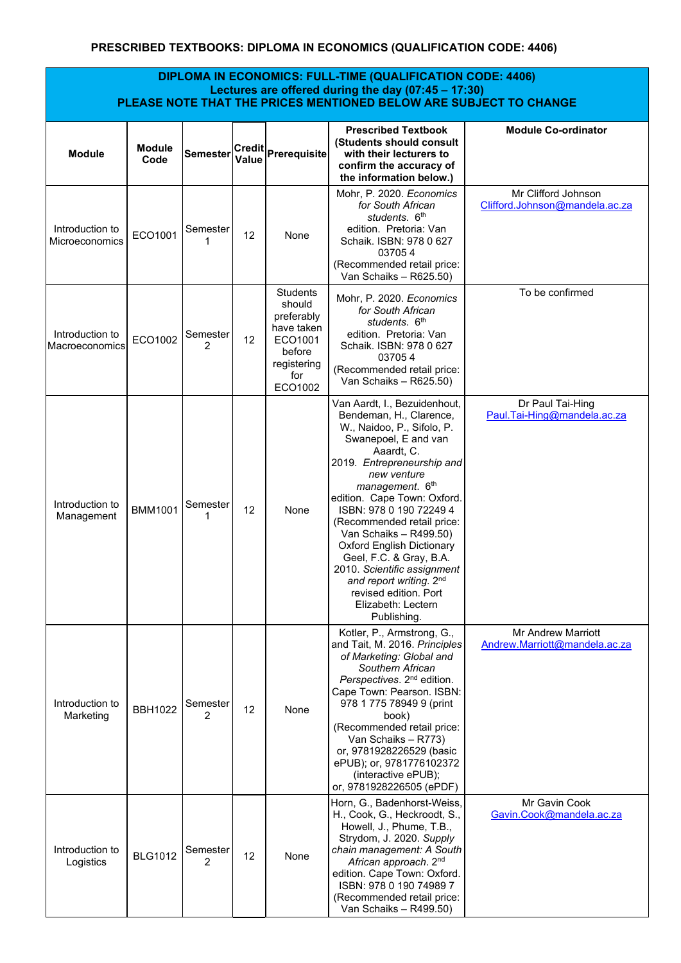## **PRESCRIBED TEXTBOOKS: DIPLOMA IN ECONOMICS (QUALIFICATION CODE: 4406)**

## **DIPLOMA IN ECONOMICS: FULL-TIME (QUALIFICATION CODE: 4406) Lectures are offered during the day (07:45 – 17:30) PLEASE NOTE THAT THE PRICES MENTIONED BELOW ARE SUBJECT TO CHANGE**

| <b>Module</b>                     | <b>Module</b><br>Code | Semester      |    | Credit Prerequisite                                                                                         | <b>Prescribed Textbook</b><br>(Students should consult<br>with their lecturers to<br>confirm the accuracy of<br>the information below.)                                                                                                                                                                                                                                                                                                                                                              | <b>Module Co-ordinator</b>                            |
|-----------------------------------|-----------------------|---------------|----|-------------------------------------------------------------------------------------------------------------|------------------------------------------------------------------------------------------------------------------------------------------------------------------------------------------------------------------------------------------------------------------------------------------------------------------------------------------------------------------------------------------------------------------------------------------------------------------------------------------------------|-------------------------------------------------------|
| Introduction to<br>Microeconomics | ECO1001               | Semester<br>1 | 12 | None                                                                                                        | Mohr. P. 2020. Economics<br>for South African<br>students, 6 <sup>th</sup><br>edition. Pretoria: Van<br>Schaik. ISBN: 978 0 627<br>037054<br>(Recommended retail price:<br>Van Schaiks - R625.50)                                                                                                                                                                                                                                                                                                    | Mr Clifford Johnson<br>Clifford.Johnson@mandela.ac.za |
| Introduction to<br>Macroeconomics | ECO1002               | Semester<br>2 | 12 | <b>Students</b><br>should<br>preferably<br>have taken<br>ECO1001<br>before<br>registering<br>for<br>ECO1002 | Mohr, P. 2020. Economics<br>for South African<br>students, 6 <sup>th</sup><br>edition. Pretoria: Van<br>Schaik. ISBN: 978 0 627<br>037054<br>(Recommended retail price:<br>Van Schaiks - R625.50)                                                                                                                                                                                                                                                                                                    | To be confirmed                                       |
| Introduction to<br>Management     | <b>BMM1001</b>        | Semester<br>1 | 12 | None                                                                                                        | Van Aardt, I., Bezuidenhout,<br>Bendeman, H., Clarence,<br>W., Naidoo, P., Sifolo, P.<br>Swanepoel, E and van<br>Aaardt, C.<br>2019. Entrepreneurship and<br>new venture<br>management. 6th<br>edition. Cape Town: Oxford.<br>ISBN: 978 0 190 72249 4<br>(Recommended retail price:<br>Van Schaiks - R499.50)<br><b>Oxford English Dictionary</b><br>Geel, F.C. & Gray, B.A.<br>2010. Scientific assignment<br>and report writing. 2nd<br>revised edition. Port<br>Elizabeth: Lectern<br>Publishing. | Dr Paul Tai-Hing<br>Paul.Tai-Hing@mandela.ac.za       |
| Introduction to<br>Marketing      | <b>BBH1022</b>        | Semester<br>2 | 12 | None                                                                                                        | Kotler, P., Armstrong, G.,<br>and Tait, M. 2016. Principles<br>of Marketing: Global and<br>Southern African<br>Perspectives. 2 <sup>nd</sup> edition.<br>Cape Town: Pearson. ISBN:<br>978 1 775 78949 9 (print<br>book)<br>(Recommended retail price:<br>Van Schaiks - R773)<br>or, 9781928226529 (basic<br>ePUB); or, 9781776102372<br>(interactive ePUB);<br>or, 9781928226505 (ePDF)                                                                                                              | Mr Andrew Marriott<br>Andrew.Marriott@mandela.ac.za   |
| Introduction to<br>Logistics      | <b>BLG1012</b>        | Semester<br>2 | 12 | None                                                                                                        | Horn, G., Badenhorst-Weiss,<br>H., Cook, G., Heckroodt, S.,<br>Howell, J., Phume, T.B.,<br>Strydom, J. 2020. Supply<br>chain management: A South<br>African approach. 2 <sup>nd</sup><br>edition. Cape Town: Oxford.<br>ISBN: 978 0 190 74989 7<br>(Recommended retail price:<br>Van Schaiks - R499.50)                                                                                                                                                                                              | Mr Gavin Cook<br>Gavin.Cook@mandela.ac.za             |